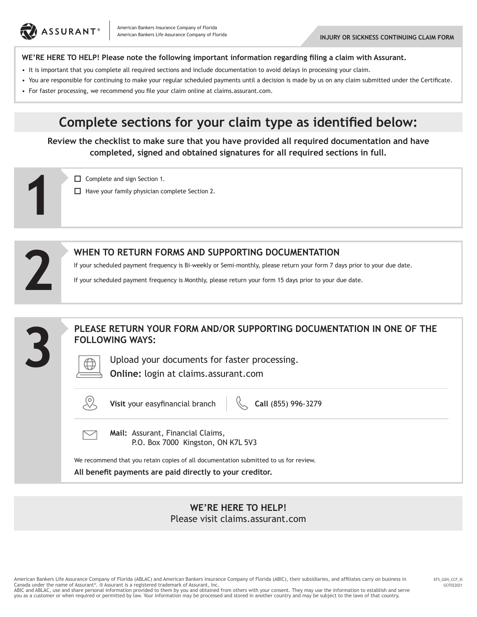

**1**

#### **WE'RE HERE TO HELP! Please note the following important information regarding filing a claim with Assurant.**

- It is important that you complete all required sections and include documentation to avoid delays in processing your claim.
- You are responsible for continuing to make your regular scheduled payments until a decision is made by us on any claim submitted under the Certificate.
- For faster processing, we recommend you file your claim online at claims.assurant.com.

# **Complete sections for your claim type as identified below:**

**Review the checklist to make sure that you have provided all required documentation and have completed, signed and obtained signatures for all required sections in full.**

Complete and sign Section 1.  $\Box$  Have your family physician complete Section 2.

|   | WHEN TO RETURN FORMS AND SUPPORTING DOCUMENTATION<br>If your scheduled payment frequency is Bi-weekly or Semi-monthly, please return your form 7 days prior to your due date.<br>If your scheduled payment frequency is Monthly, please return your form 15 days prior to your due date. |
|---|------------------------------------------------------------------------------------------------------------------------------------------------------------------------------------------------------------------------------------------------------------------------------------------|
| 3 | PLEASE RETURN YOUR FORM AND/OR SUPPORTING DOCUMENTATION IN ONE OF THE<br><b>FOLLOWING WAYS:</b><br>Upload your documents for faster processing.<br><b>Online:</b> login at claims.assurant.com                                                                                           |
|   | Visit your easyfinancial branch<br>Call (855) 996-3279                                                                                                                                                                                                                                   |
|   | Mail: Assurant, Financial Claims,<br>P.O. Box 7000 Kingston, ON K7L 5V3                                                                                                                                                                                                                  |
|   | We recommend that you retain copies of all documentation submitted to us for review.<br>All benefit payments are paid directly to your creditor.                                                                                                                                         |

**WE'RE HERE TO HELP!**  Please visit claims.assurant.com

American Bankers Life Assurance Company of Florida (ABLAC) and American Bankers Insurance Company of Florida (ABIC), their subsidiaries, and affiliates carry on business in Canada under the name of Assurant®. ® Assurant is a registered trademark of Assurant, Inc.<br>ABIC and ABLAC, use and share personal information provided to them by you and obtained from others with your consent. They may use you as a customer or when required or permitted by law. Your information may be processed and stored in another country and may be subject to the laws of that country.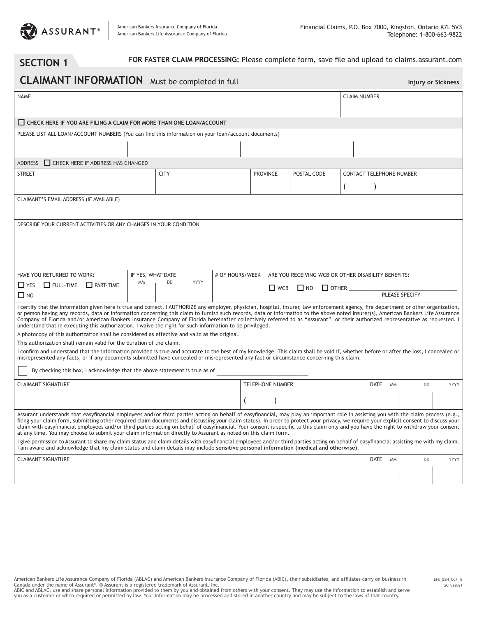

### **SECTION 1** FOR FASTER CLAIM PROCESSING: Please complete form, save file and upload to claims.assurant.com

# **CLAIMANT INFORMATION** Must be completed in full **Injury or Sickness** Injury or Sickness

| <b>NAME</b>                                                                                                                                                                                                                                                                                                                                                                                                                                                                                                                                                                                                                                                                                |                   |                         |                 | <b>CLAIM NUMBER</b> |                 |                                                     |              |      |                                 |           |             |  |  |  |
|--------------------------------------------------------------------------------------------------------------------------------------------------------------------------------------------------------------------------------------------------------------------------------------------------------------------------------------------------------------------------------------------------------------------------------------------------------------------------------------------------------------------------------------------------------------------------------------------------------------------------------------------------------------------------------------------|-------------------|-------------------------|-----------------|---------------------|-----------------|-----------------------------------------------------|--------------|------|---------------------------------|-----------|-------------|--|--|--|
| CHECK HERE IF YOU ARE FILING A CLAIM FOR MORE THAN ONE LOAN/ACCOUNT                                                                                                                                                                                                                                                                                                                                                                                                                                                                                                                                                                                                                        |                   |                         |                 |                     |                 |                                                     |              |      |                                 |           |             |  |  |  |
| PLEASE LIST ALL LOAN/ACCOUNT NUMBERS (You can find this information on your loan/account documents)                                                                                                                                                                                                                                                                                                                                                                                                                                                                                                                                                                                        |                   |                         |                 |                     |                 |                                                     |              |      |                                 |           |             |  |  |  |
|                                                                                                                                                                                                                                                                                                                                                                                                                                                                                                                                                                                                                                                                                            |                   |                         |                 |                     |                 |                                                     |              |      |                                 |           |             |  |  |  |
| $\Box$ CHECK HERE IF ADDRESS HAS CHANGED<br><b>ADDRESS</b>                                                                                                                                                                                                                                                                                                                                                                                                                                                                                                                                                                                                                                 |                   |                         |                 |                     |                 |                                                     |              |      |                                 |           |             |  |  |  |
| <b>STREET</b>                                                                                                                                                                                                                                                                                                                                                                                                                                                                                                                                                                                                                                                                              |                   | <b>CITY</b>             |                 |                     | <b>PROVINCE</b> | POSTAL CODE                                         |              |      | <b>CONTACT TELEPHONE NUMBER</b> |           |             |  |  |  |
|                                                                                                                                                                                                                                                                                                                                                                                                                                                                                                                                                                                                                                                                                            |                   |                         |                 |                     |                 |                                                     |              |      |                                 |           |             |  |  |  |
| CLAIMANT'S EMAIL ADDRESS (IF AVAILABLE)                                                                                                                                                                                                                                                                                                                                                                                                                                                                                                                                                                                                                                                    |                   |                         |                 |                     |                 |                                                     |              |      |                                 |           |             |  |  |  |
|                                                                                                                                                                                                                                                                                                                                                                                                                                                                                                                                                                                                                                                                                            |                   |                         |                 |                     |                 |                                                     |              |      |                                 |           |             |  |  |  |
| DESCRIBE YOUR CURRENT ACTIVITIES OR ANY CHANGES IN YOUR CONDITION                                                                                                                                                                                                                                                                                                                                                                                                                                                                                                                                                                                                                          |                   |                         |                 |                     |                 |                                                     |              |      |                                 |           |             |  |  |  |
|                                                                                                                                                                                                                                                                                                                                                                                                                                                                                                                                                                                                                                                                                            |                   |                         |                 |                     |                 |                                                     |              |      |                                 |           |             |  |  |  |
|                                                                                                                                                                                                                                                                                                                                                                                                                                                                                                                                                                                                                                                                                            |                   |                         |                 |                     |                 |                                                     |              |      |                                 |           |             |  |  |  |
|                                                                                                                                                                                                                                                                                                                                                                                                                                                                                                                                                                                                                                                                                            |                   |                         |                 |                     |                 |                                                     |              |      |                                 |           |             |  |  |  |
| HAVE YOU RETURNED TO WORK?                                                                                                                                                                                                                                                                                                                                                                                                                                                                                                                                                                                                                                                                 | IF YES, WHAT DATE |                         | # OF HOURS/WEEK |                     |                 | ARE YOU RECEIVING WCB OR OTHER DISABILITY BENEFITS? |              |      |                                 |           |             |  |  |  |
| $\Box$ YES $\Box$ FULL-TIME $\Box$ PART-TIME                                                                                                                                                                                                                                                                                                                                                                                                                                                                                                                                                                                                                                               | <b>MM</b>         | YYYY<br><b>DD</b>       |                 |                     | $\Box$ WCB      | $\Box$ NO                                           | $\Box$ other |      |                                 |           |             |  |  |  |
| $\square$ NO                                                                                                                                                                                                                                                                                                                                                                                                                                                                                                                                                                                                                                                                               |                   |                         |                 | PLEASE SPECIFY      |                 |                                                     |              |      |                                 |           |             |  |  |  |
| I certify that the information given here is true and correct. I AUTHORIZE any employer, physician, hospital, insurer, law enforcement agency, fire department or other organization,<br>or person having any records, data or information concerning this claim to furnish such records, data or information to the above noted insurer(s), American Bankers Life Assurance<br>Company of Florida and/or American Bankers Insurance Company of Florida hereinafter collectively referred to as "Assurant", or their authorized representative as requested. I<br>understand that in executing this authorization, I waive the right for such information to be privileged.                |                   |                         |                 |                     |                 |                                                     |              |      |                                 |           |             |  |  |  |
| A photocopy of this authorization shall be considered as effective and valid as the original.<br>This authorization shall remain valid for the duration of the claim.                                                                                                                                                                                                                                                                                                                                                                                                                                                                                                                      |                   |                         |                 |                     |                 |                                                     |              |      |                                 |           |             |  |  |  |
| I confirm and understand that the information provided is true and accurate to the best of my knowledge. This claim shall be void if, whether before or after the loss, I concealed or<br>misrepresented any facts, or if any documents submitted have concealed or misrepresented any fact or circumstance concerning this claim.                                                                                                                                                                                                                                                                                                                                                         |                   |                         |                 |                     |                 |                                                     |              |      |                                 |           |             |  |  |  |
| By checking this box, I acknowledge that the above statement is true as of                                                                                                                                                                                                                                                                                                                                                                                                                                                                                                                                                                                                                 |                   |                         |                 |                     |                 |                                                     |              |      |                                 |           |             |  |  |  |
| <b>CLAIMANT SIGNATURE</b>                                                                                                                                                                                                                                                                                                                                                                                                                                                                                                                                                                                                                                                                  |                   | <b>TELEPHONE NUMBER</b> |                 |                     |                 | <b>DATE</b><br><b>MM</b>                            | <b>DD</b>    | YYYY |                                 |           |             |  |  |  |
|                                                                                                                                                                                                                                                                                                                                                                                                                                                                                                                                                                                                                                                                                            |                   |                         |                 |                     |                 |                                                     |              |      |                                 |           |             |  |  |  |
| Assurant understands that easyfinancial employees and/or third parties acting on behalf of easyfinancial, may play an important role in assisting you with the claim process (e.g.,<br>filing your claim form, submitting other required claim documents and discussing your claim status). In order to protect your privacy, we require your explicit consent to discuss your<br>claim with easyfinancial employees and/or third parties acting on behalf of easyfinancial. Your consent is specific to this claim only and you have the right to withdraw your consent<br>at any time. You may choose to submit your claim information directly to Assurant as noted on this claim form. |                   |                         |                 |                     |                 |                                                     |              |      |                                 |           |             |  |  |  |
| I give permission to Assurant to share my claim status and claim details with easyfinancial employees and/or third parties acting on behalf of easyfinancial assisting me with my claim.<br>I am aware and acknowledge that my claim status and claim details may include sensitive personal information (medical and otherwise).                                                                                                                                                                                                                                                                                                                                                          |                   |                         |                 |                     |                 |                                                     |              |      |                                 |           |             |  |  |  |
| <b>CLAIMANT SIGNATURE</b>                                                                                                                                                                                                                                                                                                                                                                                                                                                                                                                                                                                                                                                                  |                   |                         |                 |                     |                 |                                                     |              |      | <b>DATE</b><br><b>MM</b>        | <b>DD</b> | <b>YYYY</b> |  |  |  |
|                                                                                                                                                                                                                                                                                                                                                                                                                                                                                                                                                                                                                                                                                            |                   |                         |                 |                     |                 |                                                     |              |      |                                 |           |             |  |  |  |